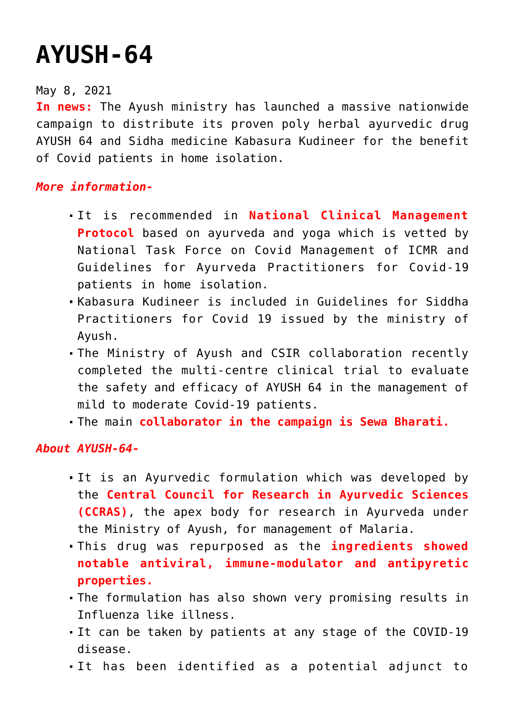## **[AYUSH-64](https://journalsofindia.com/ayush-64/)**

## May 8, 2021

**In news:** The Ayush ministry has launched a massive nationwide campaign to distribute its proven poly herbal ayurvedic drug AYUSH 64 and Sidha medicine Kabasura Kudineer for the benefit of Covid patients in home isolation.

## *More information-*

- It is recommended in **National Clinical Management Protocol** based on ayurveda and yoga which is vetted by National Task Force on Covid Management of ICMR and Guidelines for Ayurveda Practitioners for Covid-19 patients in home isolation.
- Kabasura Kudineer is included in Guidelines for Siddha Practitioners for Covid 19 issued by the ministry of Ayush.
- The Ministry of Ayush and CSIR collaboration recently completed the multi-centre clinical trial to evaluate the safety and efficacy of AYUSH 64 in the management of mild to moderate Covid-19 patients.
- The main **collaborator in the campaign is Sewa Bharati.**

## *About AYUSH-64-*

- It is an Ayurvedic formulation which was developed by the **Central Council for Research in Ayurvedic Sciences (CCRAS)**, the apex body for research in Ayurveda under the Ministry of Ayush, for management of Malaria.
- This drug was repurposed as the **ingredients showed notable antiviral, immune-modulator and antipyretic properties.**
- The formulation has also shown very promising results in Influenza like illness.
- It can be taken by patients at any stage of the COVID-19 disease.
- It has been identified as a potential adjunct to